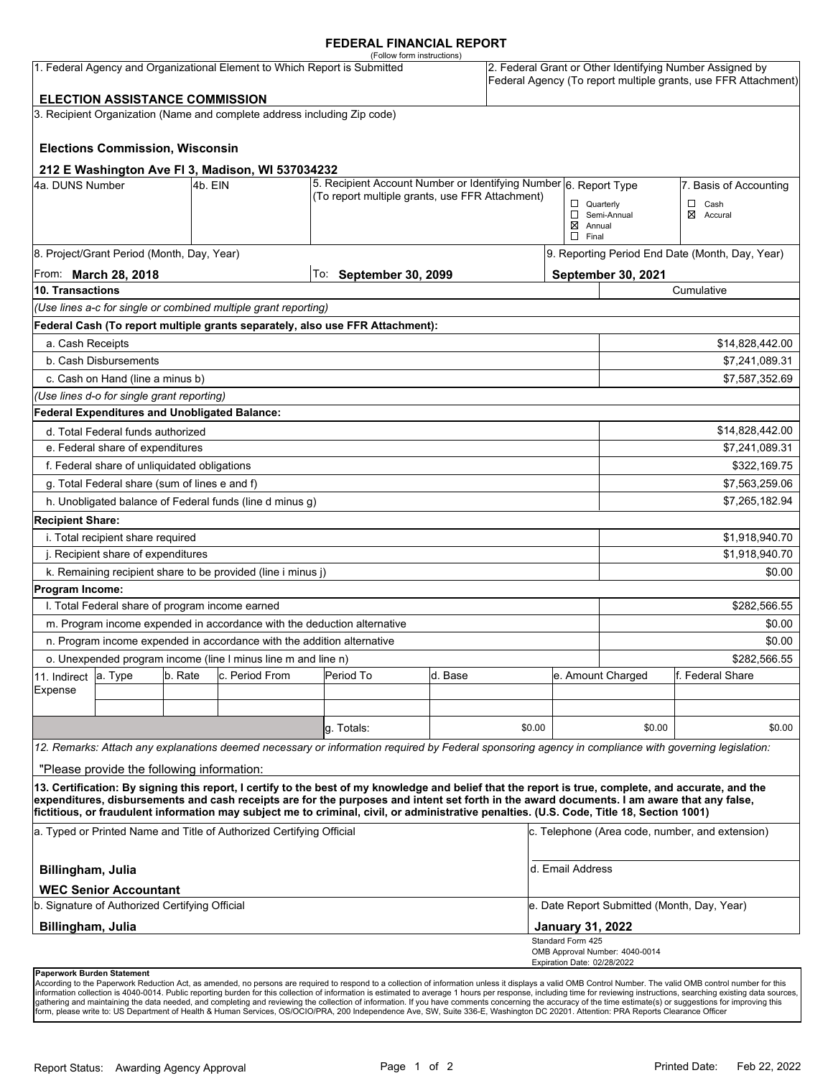#### **FEDERAL FINANCIAL REPORT**

|                                                                                                                                                                                                                   |                                                 |                                                   |                                                                                                                     | (Follow form instructions)                                                                                                                                                                                                                                                                         |                                       |                        |                                             |                                                                                                                            |                          |  |
|-------------------------------------------------------------------------------------------------------------------------------------------------------------------------------------------------------------------|-------------------------------------------------|---------------------------------------------------|---------------------------------------------------------------------------------------------------------------------|----------------------------------------------------------------------------------------------------------------------------------------------------------------------------------------------------------------------------------------------------------------------------------------------------|---------------------------------------|------------------------|---------------------------------------------|----------------------------------------------------------------------------------------------------------------------------|--------------------------|--|
| 1. Federal Agency and Organizational Element to Which Report is Submitted                                                                                                                                         |                                                 |                                                   |                                                                                                                     |                                                                                                                                                                                                                                                                                                    |                                       |                        |                                             | 2. Federal Grant or Other Identifying Number Assigned by<br>Federal Agency (To report multiple grants, use FFR Attachment) |                          |  |
|                                                                                                                                                                                                                   | <b>ELECTION ASSISTANCE COMMISSION</b>           |                                                   |                                                                                                                     |                                                                                                                                                                                                                                                                                                    |                                       |                        |                                             |                                                                                                                            |                          |  |
|                                                                                                                                                                                                                   |                                                 |                                                   | 3. Recipient Organization (Name and complete address including Zip code)                                            |                                                                                                                                                                                                                                                                                                    |                                       |                        |                                             |                                                                                                                            |                          |  |
|                                                                                                                                                                                                                   | <b>Elections Commission, Wisconsin</b>          |                                                   |                                                                                                                     |                                                                                                                                                                                                                                                                                                    |                                       |                        |                                             |                                                                                                                            |                          |  |
|                                                                                                                                                                                                                   |                                                 |                                                   | 212 E Washington Ave FI 3, Madison, WI 537034232                                                                    |                                                                                                                                                                                                                                                                                                    |                                       |                        |                                             |                                                                                                                            |                          |  |
| 4a. DUNS Number<br>4b. EIN                                                                                                                                                                                        |                                                 |                                                   | 5. Recipient Account Number or Identifying Number 6. Report Type<br>(To report multiple grants, use FFR Attachment) |                                                                                                                                                                                                                                                                                                    |                                       | 7. Basis of Accounting |                                             |                                                                                                                            |                          |  |
|                                                                                                                                                                                                                   |                                                 |                                                   |                                                                                                                     |                                                                                                                                                                                                                                                                                                    |                                       |                        | $\Box$ Quarterly                            | Semi-Annual                                                                                                                | $\Box$ Cash<br>⊠ Accural |  |
|                                                                                                                                                                                                                   |                                                 |                                                   |                                                                                                                     |                                                                                                                                                                                                                                                                                                    |                                       |                        | $\boxtimes$ Annual<br>$\Box$ Final          |                                                                                                                            |                          |  |
|                                                                                                                                                                                                                   | 8. Project/Grant Period (Month, Day, Year)      |                                                   |                                                                                                                     |                                                                                                                                                                                                                                                                                                    |                                       |                        |                                             | 9. Reporting Period End Date (Month, Day, Year)                                                                            |                          |  |
| From: <b>March 28, 2018</b>                                                                                                                                                                                       |                                                 |                                                   |                                                                                                                     | To: September 30, 2099                                                                                                                                                                                                                                                                             |                                       |                        |                                             | <b>September 30, 2021</b>                                                                                                  |                          |  |
| 10. Transactions                                                                                                                                                                                                  |                                                 |                                                   |                                                                                                                     |                                                                                                                                                                                                                                                                                                    |                                       |                        | Cumulative                                  |                                                                                                                            |                          |  |
|                                                                                                                                                                                                                   |                                                 |                                                   | (Use lines a-c for single or combined multiple grant reporting)                                                     |                                                                                                                                                                                                                                                                                                    |                                       |                        |                                             |                                                                                                                            |                          |  |
|                                                                                                                                                                                                                   |                                                 |                                                   |                                                                                                                     | Federal Cash (To report multiple grants separately, also use FFR Attachment):                                                                                                                                                                                                                      |                                       |                        |                                             |                                                                                                                            |                          |  |
| a. Cash Receipts                                                                                                                                                                                                  |                                                 |                                                   |                                                                                                                     |                                                                                                                                                                                                                                                                                                    |                                       |                        |                                             |                                                                                                                            | \$14,828,442.00          |  |
|                                                                                                                                                                                                                   | b. Cash Disbursements                           |                                                   |                                                                                                                     |                                                                                                                                                                                                                                                                                                    |                                       |                        |                                             | \$7,241,089.31                                                                                                             |                          |  |
|                                                                                                                                                                                                                   | c. Cash on Hand (line a minus b)                |                                                   |                                                                                                                     |                                                                                                                                                                                                                                                                                                    |                                       |                        |                                             |                                                                                                                            | \$7,587,352.69           |  |
|                                                                                                                                                                                                                   | (Use lines d-o for single grant reporting)      |                                                   |                                                                                                                     |                                                                                                                                                                                                                                                                                                    |                                       |                        |                                             |                                                                                                                            |                          |  |
|                                                                                                                                                                                                                   | Federal Expenditures and Unobligated Balance:   |                                                   |                                                                                                                     |                                                                                                                                                                                                                                                                                                    |                                       |                        |                                             |                                                                                                                            |                          |  |
| d. Total Federal funds authorized                                                                                                                                                                                 |                                                 |                                                   |                                                                                                                     |                                                                                                                                                                                                                                                                                                    |                                       |                        |                                             |                                                                                                                            | \$14,828,442.00          |  |
| e. Federal share of expenditures                                                                                                                                                                                  |                                                 |                                                   |                                                                                                                     |                                                                                                                                                                                                                                                                                                    |                                       |                        |                                             | \$7,241,089.31                                                                                                             |                          |  |
| f. Federal share of unliquidated obligations                                                                                                                                                                      |                                                 |                                                   |                                                                                                                     |                                                                                                                                                                                                                                                                                                    |                                       |                        |                                             | \$322,169.75                                                                                                               |                          |  |
| g. Total Federal share (sum of lines e and f)                                                                                                                                                                     |                                                 |                                                   |                                                                                                                     |                                                                                                                                                                                                                                                                                                    |                                       |                        |                                             | \$7,563,259.06                                                                                                             |                          |  |
|                                                                                                                                                                                                                   |                                                 |                                                   | h. Unobligated balance of Federal funds (line d minus g)                                                            |                                                                                                                                                                                                                                                                                                    |                                       |                        |                                             |                                                                                                                            | \$7,265,182.94           |  |
| <b>Recipient Share:</b>                                                                                                                                                                                           |                                                 |                                                   |                                                                                                                     |                                                                                                                                                                                                                                                                                                    |                                       |                        |                                             |                                                                                                                            |                          |  |
| i. Total recipient share required                                                                                                                                                                                 |                                                 |                                                   |                                                                                                                     |                                                                                                                                                                                                                                                                                                    |                                       |                        |                                             |                                                                                                                            | \$1,918,940.70           |  |
| j. Recipient share of expenditures                                                                                                                                                                                |                                                 |                                                   |                                                                                                                     |                                                                                                                                                                                                                                                                                                    |                                       |                        |                                             | \$1,918,940.70                                                                                                             |                          |  |
|                                                                                                                                                                                                                   |                                                 |                                                   | k. Remaining recipient share to be provided (line i minus j)                                                        |                                                                                                                                                                                                                                                                                                    |                                       |                        |                                             |                                                                                                                            | \$0.00                   |  |
| Program Income:                                                                                                                                                                                                   |                                                 |                                                   |                                                                                                                     |                                                                                                                                                                                                                                                                                                    |                                       |                        |                                             |                                                                                                                            |                          |  |
|                                                                                                                                                                                                                   | I. Total Federal share of program income earned |                                                   |                                                                                                                     |                                                                                                                                                                                                                                                                                                    |                                       |                        |                                             |                                                                                                                            | \$282,566.55             |  |
|                                                                                                                                                                                                                   |                                                 |                                                   |                                                                                                                     | m. Program income expended in accordance with the deduction alternative                                                                                                                                                                                                                            |                                       |                        |                                             |                                                                                                                            | \$0.00                   |  |
| n. Program income expended in accordance with the addition alternative                                                                                                                                            |                                                 |                                                   |                                                                                                                     |                                                                                                                                                                                                                                                                                                    |                                       |                        |                                             |                                                                                                                            | \$0.00                   |  |
| o. Unexpended program income (line I minus line m and line n)                                                                                                                                                     |                                                 |                                                   |                                                                                                                     |                                                                                                                                                                                                                                                                                                    |                                       |                        |                                             | \$282,566.55                                                                                                               |                          |  |
| 11. Indirect                                                                                                                                                                                                      | a. Type                                         | b. Rate<br>c. Period From<br>Period To<br>d. Base |                                                                                                                     |                                                                                                                                                                                                                                                                                                    | e. Amount Charged<br>f. Federal Share |                        |                                             |                                                                                                                            |                          |  |
| Expense                                                                                                                                                                                                           |                                                 |                                                   |                                                                                                                     |                                                                                                                                                                                                                                                                                                    |                                       |                        |                                             |                                                                                                                            |                          |  |
|                                                                                                                                                                                                                   |                                                 |                                                   |                                                                                                                     |                                                                                                                                                                                                                                                                                                    |                                       |                        |                                             |                                                                                                                            |                          |  |
|                                                                                                                                                                                                                   |                                                 |                                                   |                                                                                                                     | q. Totals:                                                                                                                                                                                                                                                                                         |                                       | \$0.00                 |                                             | \$0.00                                                                                                                     | \$0.00                   |  |
|                                                                                                                                                                                                                   |                                                 |                                                   |                                                                                                                     | 12. Remarks: Attach any explanations deemed necessary or information required by Federal sponsoring agency in compliance with governing legislation:                                                                                                                                               |                                       |                        |                                             |                                                                                                                            |                          |  |
|                                                                                                                                                                                                                   | "Please provide the following information:      |                                                   |                                                                                                                     |                                                                                                                                                                                                                                                                                                    |                                       |                        |                                             |                                                                                                                            |                          |  |
|                                                                                                                                                                                                                   |                                                 |                                                   |                                                                                                                     | 13. Certification: By signing this report, I certify to the best of my knowledge and belief that the report is true, complete, and accurate, and the<br>expenditures, disbursements and cash receipts are for the purposes and intent set forth in the award documents. I am aware that any false, |                                       |                        |                                             |                                                                                                                            |                          |  |
| fictitious, or fraudulent information may subject me to criminal, civil, or administrative penalties. (U.S. Code, Title 18, Section 1001)<br>a. Typed or Printed Name and Title of Authorized Certifying Official |                                                 |                                                   |                                                                                                                     |                                                                                                                                                                                                                                                                                                    |                                       |                        |                                             | c. Telephone (Area code, number, and extension)                                                                            |                          |  |
| Billingham, Julia                                                                                                                                                                                                 |                                                 |                                                   |                                                                                                                     |                                                                                                                                                                                                                                                                                                    |                                       |                        | d. Email Address                            |                                                                                                                            |                          |  |
|                                                                                                                                                                                                                   | <b>WEC Senior Accountant</b>                    |                                                   |                                                                                                                     |                                                                                                                                                                                                                                                                                                    |                                       |                        |                                             |                                                                                                                            |                          |  |
| b. Signature of Authorized Certifying Official                                                                                                                                                                    |                                                 |                                                   |                                                                                                                     |                                                                                                                                                                                                                                                                                                    |                                       |                        | e. Date Report Submitted (Month, Day, Year) |                                                                                                                            |                          |  |
| Billingham, Julia                                                                                                                                                                                                 |                                                 |                                                   |                                                                                                                     |                                                                                                                                                                                                                                                                                                    |                                       |                        | <b>January 31, 2022</b>                     |                                                                                                                            |                          |  |
|                                                                                                                                                                                                                   |                                                 |                                                   |                                                                                                                     |                                                                                                                                                                                                                                                                                                    |                                       |                        | Standard Form 425                           | OMB Approval Number: 4040-0014                                                                                             |                          |  |
|                                                                                                                                                                                                                   | Paperwork Burden Statement                      |                                                   |                                                                                                                     |                                                                                                                                                                                                                                                                                                    |                                       |                        | Expiration Date: 02/28/2022                 |                                                                                                                            |                          |  |

According to the Paperwork Reduction Act, as amended, no persons are required to respond to a collection of information unless it displays a valid OMB Control Number. The valid OMB control number for this<br>information colle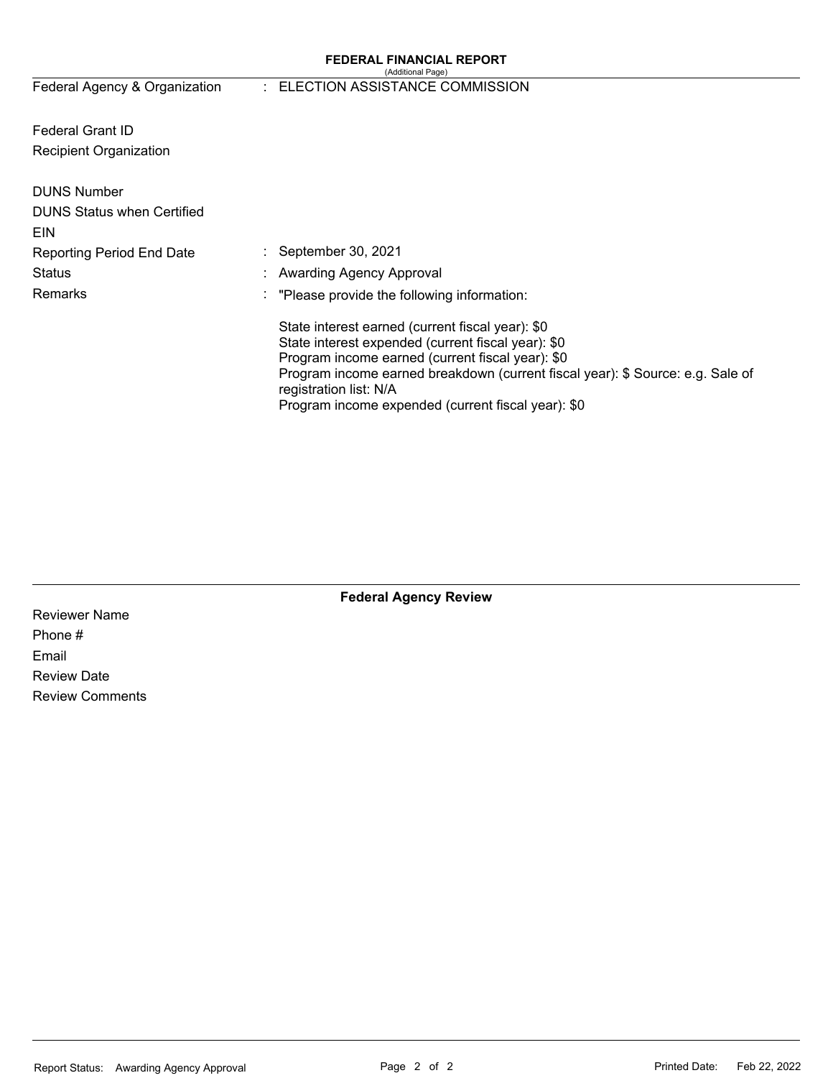#### **FEDERAL FINANCIAL REPORT**  (Additional Page)

# Federal Agency & Organization : ELECTION ASSISTANCE COMMISSION

Federal Grant ID Recipient Organization

| <b>DUNS Number</b><br><b>DUNS Status when Certified</b><br>EIN |                                                                                                                                                                                                                                                                                                                              |
|----------------------------------------------------------------|------------------------------------------------------------------------------------------------------------------------------------------------------------------------------------------------------------------------------------------------------------------------------------------------------------------------------|
| <b>Reporting Period End Date</b>                               | $\therefore$ September 30, 2021                                                                                                                                                                                                                                                                                              |
| <b>Status</b>                                                  | : Awarding Agency Approval                                                                                                                                                                                                                                                                                                   |
| Remarks                                                        | $\therefore$ "Please provide the following information:                                                                                                                                                                                                                                                                      |
|                                                                | State interest earned (current fiscal year): \$0<br>State interest expended (current fiscal year): \$0<br>Program income earned (current fiscal year): \$0<br>Program income earned breakdown (current fiscal year): \$ Source: e.g. Sale of<br>registration list: N/A<br>Program income expended (current fiscal year): \$0 |

**Federal Agency Review** 

Reviewer Name Phone # Email Review Date Review Comments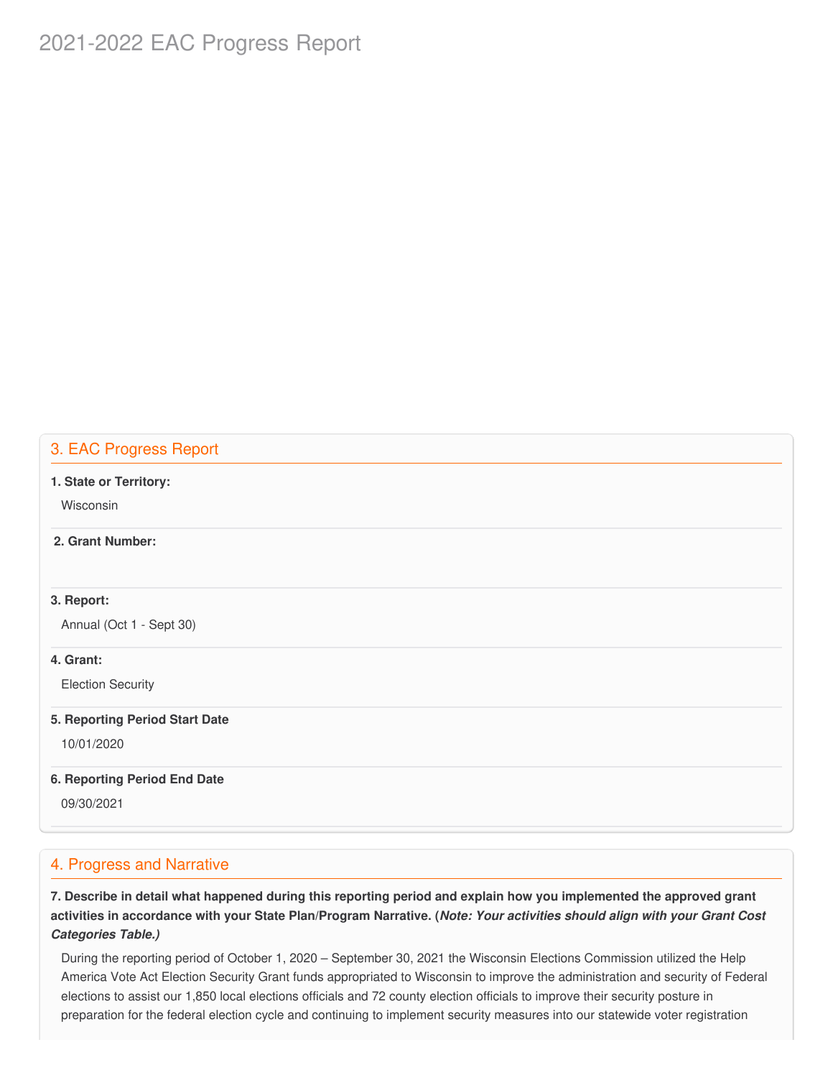# 2021-2022 EAC Progress Report

# 3. EAC Progress Report

#### **1. State or Territory:**

Wisconsin

### **2. Grant Number:**

#### **3. Report:**

Annual (Oct 1 - Sept 30)

#### **4. Grant:**

Election Security

#### **5. Reporting Period Start Date**

10/01/2020

#### **6. Reporting Period End Date**

09/30/2021

# 4. Progress and Narrative

7. Describe in detail what happened during this reporting period and explain how you implemented the approved grant activities in accordance with your State Plan/Program Narrative. (*Note: Your activities should align with your Grant Cost Categories Table.)*

 During the reporting period of October 1, 2020 – September 30, 2021 the Wisconsin Elections Commission utilized the Help America Vote Act Election Security Grant funds appropriated to Wisconsin to improve the administration and security of Federal elections to assist our 1,850 local elections officials and 72 county election officials to improve their security posture in preparation for the federal election cycle and continuing to implement security measures into our statewide voter registration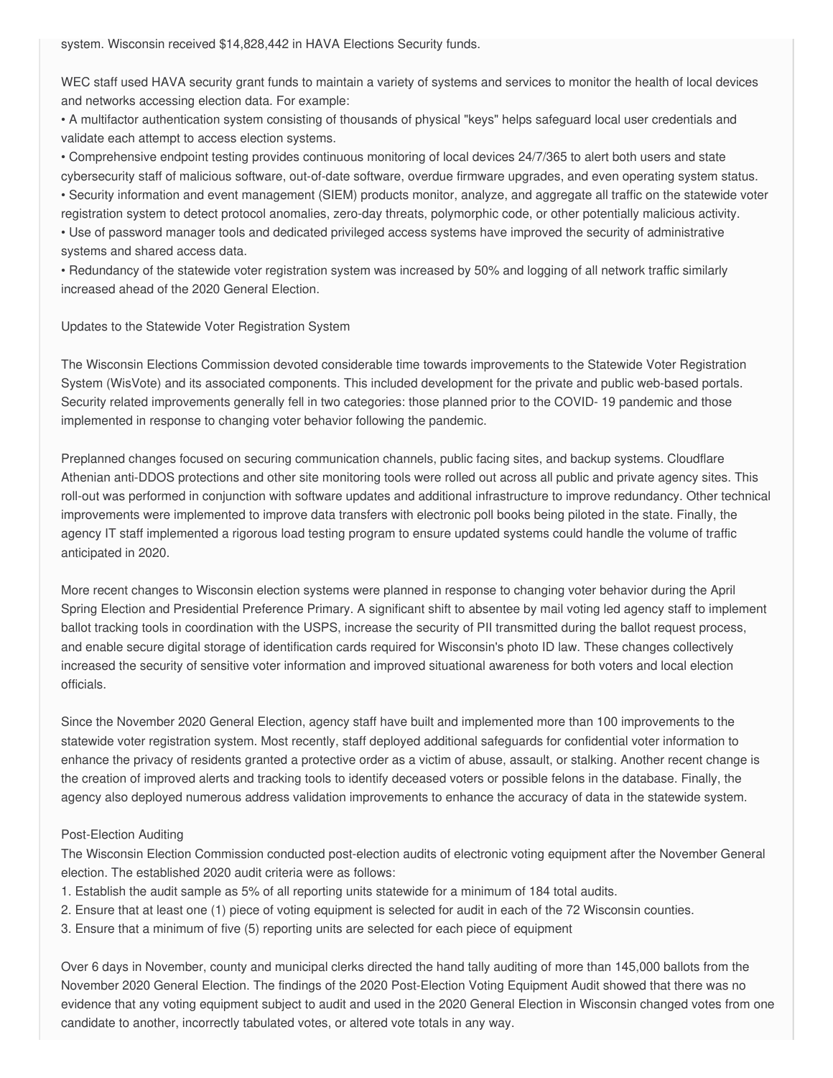system. Wisconsin received \$14,828,442 in HAVA Elections Security funds.

 WEC staff used HAVA security grant funds to maintain a variety of systems and services to monitor the health of local devices and networks accessing election data. For example:

 • A multifactor authentication system consisting of thousands of physical "keys" helps safeguard local user credentials and validate each attempt to access election systems.

 • Comprehensive endpoint testing provides continuous monitoring of local devices 24/7/365 to alert both users and state cybersecurity staff of malicious software, out-of-date software, overdue firmware upgrades, and even operating system status. • Security information and event management (SIEM) products monitor, analyze, and aggregate all traffic on the statewide voter

 registration system to detect protocol anomalies, zero-day threats, polymorphic code, or other potentially malicious activity. • Use of password manager tools and dedicated privileged access systems have improved the security of administrative systems and shared access data.

 • Redundancy of the statewide voter registration system was increased by 50% and logging of all network traffic similarly increased ahead of the 2020 General Election.

#### Updates to the Statewide Voter Registration System

 The Wisconsin Elections Commission devoted considerable time towards improvements to the Statewide Voter Registration System (WisVote) and its associated components. This included development for the private and public web-based portals. Security related improvements generally fell in two categories: those planned prior to the COVID- 19 pandemic and those implemented in response to changing voter behavior following the pandemic.

 Preplanned changes focused on securing communication channels, public facing sites, and backup systems. Cloudflare Athenian anti-DDOS protections and other site monitoring tools were rolled out across all public and private agency sites. This roll-out was performed in conjunction with software updates and additional infrastructure to improve redundancy. Other technical improvements were implemented to improve data transfers with electronic poll books being piloted in the state. Finally, the agency IT staff implemented a rigorous load testing program to ensure updated systems could handle the volume of traffic anticipated in 2020.

 More recent changes to Wisconsin election systems were planned in response to changing voter behavior during the April Spring Election and Presidential Preference Primary. A significant shift to absentee by mail voting led agency staff to implement ballot tracking tools in coordination with the USPS, increase the security of PII transmitted during the ballot request process, and enable secure digital storage of identification cards required for Wisconsin's photo ID law. These changes collectively increased the security of sensitive voter information and improved situational awareness for both voters and local election officials.

 Since the November 2020 General Election, agency staff have built and implemented more than 100 improvements to the statewide voter registration system. Most recently, staff deployed additional safeguards for confidential voter information to enhance the privacy of residents granted a protective order as a victim of abuse, assault, or stalking. Another recent change is the creation of improved alerts and tracking tools to identify deceased voters or possible felons in the database. Finally, the agency also deployed numerous address validation improvements to enhance the accuracy of data in the statewide system.

#### Post-Election Auditing

 The Wisconsin Election Commission conducted post-election audits of electronic voting equipment after the November General election. The established 2020 audit criteria were as follows:

- 1. Establish the audit sample as 5% of all reporting units statewide for a minimum of 184 total audits.
- 2. Ensure that at least one (1) piece of voting equipment is selected for audit in each of the 72 Wisconsin counties.
- 3. Ensure that a minimum of five (5) reporting units are selected for each piece of equipment

 Over 6 days in November, county and municipal clerks directed the hand tally auditing of more than 145,000 ballots from the November 2020 General Election. The findings of the 2020 Post-Election Voting Equipment Audit showed that there was no evidence that any voting equipment subject to audit and used in the 2020 General Election in Wisconsin changed votes from one candidate to another, incorrectly tabulated votes, or altered vote totals in any way.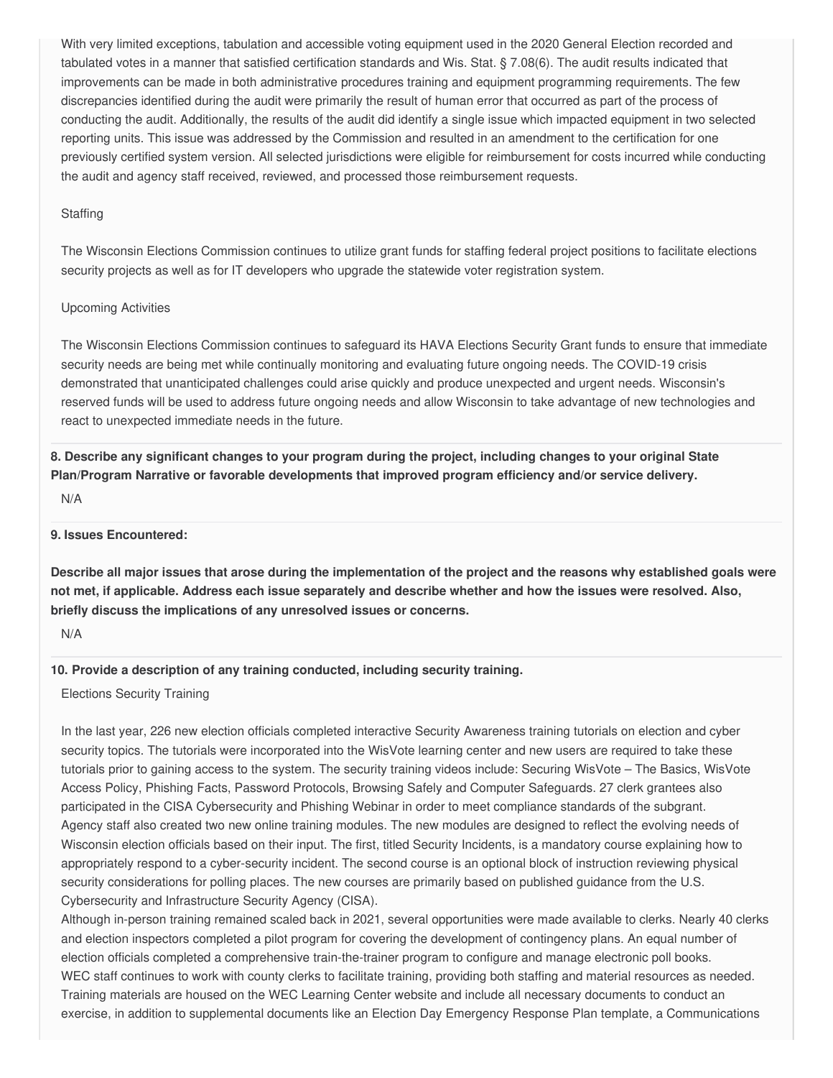With very limited exceptions, tabulation and accessible voting equipment used in the 2020 General Election recorded and tabulated votes in a manner that satisfied certification standards and Wis. Stat. § 7.08(6). The audit results indicated that improvements can be made in both administrative procedures training and equipment programming requirements. The few discrepancies identified during the audit were primarily the result of human error that occurred as part of the process of conducting the audit. Additionally, the results of the audit did identify a single issue which impacted equipment in two selected reporting units. This issue was addressed by the Commission and resulted in an amendment to the certification for one previously certified system version. All selected jurisdictions were eligible for reimbursement for costs incurred while conducting the audit and agency staff received, reviewed, and processed those reimbursement requests.

#### **Staffing**

 The Wisconsin Elections Commission continues to utilize grant funds for staffing federal project positions to facilitate elections security projects as well as for IT developers who upgrade the statewide voter registration system.

#### Upcoming Activities

 The Wisconsin Elections Commission continues to safeguard its HAVA Elections Security Grant funds to ensure that immediate security needs are being met while continually monitoring and evaluating future ongoing needs. The COVID-19 crisis demonstrated that unanticipated challenges could arise quickly and produce unexpected and urgent needs. Wisconsin's reserved funds will be used to address future ongoing needs and allow Wisconsin to take advantage of new technologies and react to unexpected immediate needs in the future.

8. Describe any significant changes to your program during the project, including changes to your original State  **Plan/Program Narrative or favorable developments that improved program efficiency and/or service delivery.**

N/A

**9. Issues Encountered:**

Describe all major issues that arose during the implementation of the project and the reasons why established goals were not met, if applicable. Address each issue separately and describe whether and how the issues were resolved. Also,  **briefly discuss the implications of any unresolved issues or concerns.**

N/A

#### **10. Provide a description of any training conducted, including security training.**

Elections Security Training

 In the last year, 226 new election officials completed interactive Security Awareness training tutorials on election and cyber security topics. The tutorials were incorporated into the WisVote learning center and new users are required to take these tutorials prior to gaining access to the system. The security training videos include: Securing WisVote – The Basics, WisVote Access Policy, Phishing Facts, Password Protocols, Browsing Safely and Computer Safeguards. 27 clerk grantees also participated in the CISA Cybersecurity and Phishing Webinar in order to meet compliance standards of the subgrant. Agency staff also created two new online training modules. The new modules are designed to reflect the evolving needs of Wisconsin election officials based on their input. The first, titled Security Incidents, is a mandatory course explaining how to appropriately respond to a cyber-security incident. The second course is an optional block of instruction reviewing physical security considerations for polling places. The new courses are primarily based on published guidance from the U.S. Cybersecurity and Infrastructure Security Agency (CISA).

 Although in-person training remained scaled back in 2021, several opportunities were made available to clerks. Nearly 40 clerks and election inspectors completed a pilot program for covering the development of contingency plans. An equal number of election officials completed a comprehensive train-the-trainer program to configure and manage electronic poll books. WEC staff continues to work with county clerks to facilitate training, providing both staffing and material resources as needed. Training materials are housed on the WEC Learning Center website and include all necessary documents to conduct an exercise, in addition to supplemental documents like an Election Day Emergency Response Plan template, a Communications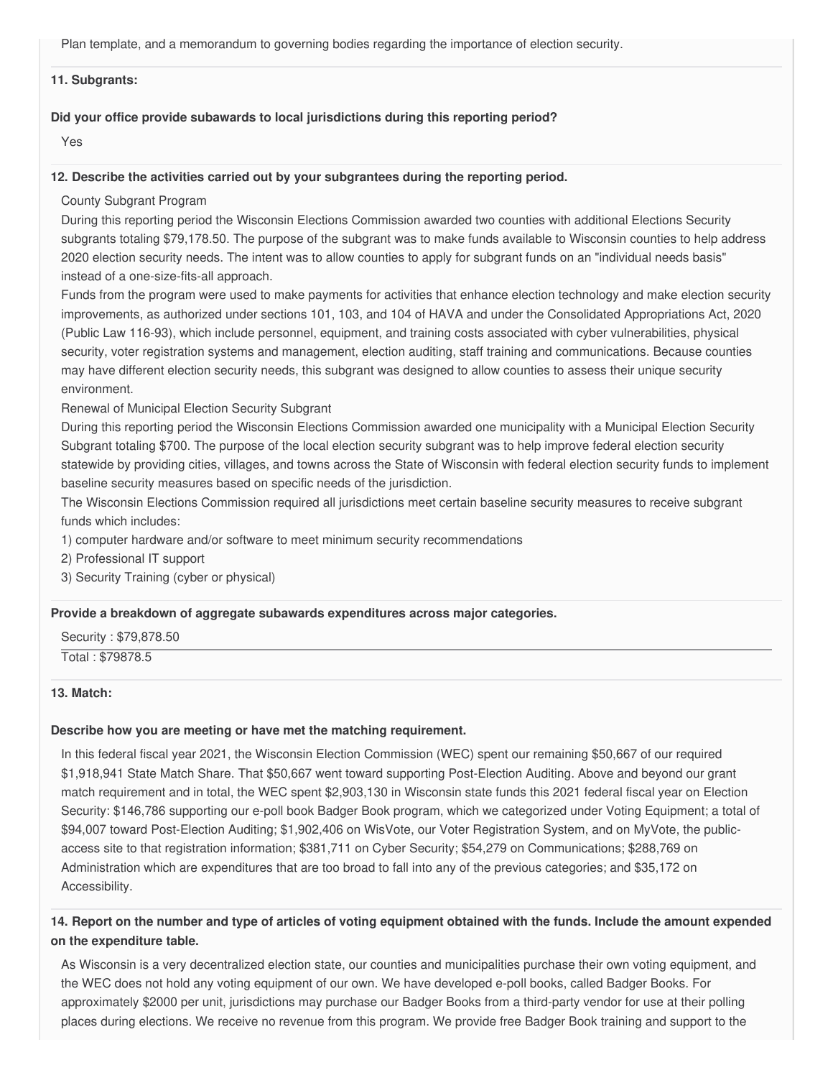Plan template, and a memorandum to governing bodies regarding the importance of election security.

#### **11. Subgrants:**

#### **Did your office provide subawards to local jurisdictions during this reporting period?**

Yes

#### **12. Describe the activities carried out by your subgrantees during the reporting period.**

County Subgrant Program

 During this reporting period the Wisconsin Elections Commission awarded two counties with additional Elections Security subgrants totaling [\\$79,178.50](https://79,178.50). The purpose of the subgrant was to make funds available to Wisconsin counties to help address 2020 election security needs. The intent was to allow counties to apply for subgrant funds on an "individual needs basis" instead of a one-size-fits-all approach.

 Funds from the program were used to make payments for activities that enhance election technology and make election security improvements, as authorized under sections 101, 103, and 104 of HAVA and under the Consolidated Appropriations Act, 2020 (Public Law 116-93), which include personnel, equipment, and training costs associated with cyber vulnerabilities, physical security, voter registration systems and management, election auditing, staff training and communications. Because counties may have different election security needs, this subgrant was designed to allow counties to assess their unique security environment.

Renewal of Municipal Election Security Subgrant

 During this reporting period the Wisconsin Elections Commission awarded one municipality with a Municipal Election Security Subgrant totaling \$700. The purpose of the local election security subgrant was to help improve federal election security statewide by providing cities, villages, and towns across the State of Wisconsin with federal election security funds to implement baseline security measures based on specific needs of the jurisdiction.

 The Wisconsin Elections Commission required all jurisdictions meet certain baseline security measures to receive subgrant funds which includes:

1) computer hardware and/or software to meet minimum security recommendations

2) Professional IT support

3) Security Training (cyber or physical)

#### **Provide a breakdown of aggregate subawards expenditures across major categories.**

Security : \$[79,878.50](https://79,878.50)

Total : \$79878.5

#### **13. Match:**

#### **Describe how you are meeting or have met the matching requirement.**

 In this federal fiscal year 2021, the Wisconsin Election Commission (WEC) spent our remaining \$50,667 of our required \$1,918,941 State Match Share. That \$50,667 went toward supporting Post-Election Auditing. Above and beyond our grant match requirement and in total, the WEC spent \$2,903,130 in Wisconsin state funds this 2021 federal fiscal year on Election Security: \$146,786 supporting our e-poll book Badger Book program, which we categorized under Voting Equipment; a total of \$94,007 toward Post-Election Auditing; \$1,902,406 on WisVote, our Voter Registration System, and on MyVote, the public- access site to that registration information; \$381,711 on Cyber Security; \$54,279 on Communications; \$288,769 on Administration which are expenditures that are too broad to fall into any of the previous categories; and \$35,172 on Accessibility.

### 14. Report on the number and type of articles of voting equipment obtained with the funds. Include the amount expended  **on the expenditure table.**

 As Wisconsin is a very decentralized election state, our counties and municipalities purchase their own voting equipment, and the WEC does not hold any voting equipment of our own. We have developed e-poll books, called Badger Books. For approximately \$2000 per unit, jurisdictions may purchase our Badger Books from a third-party vendor for use at their polling places during elections. We receive no revenue from this program. We provide free Badger Book training and support to the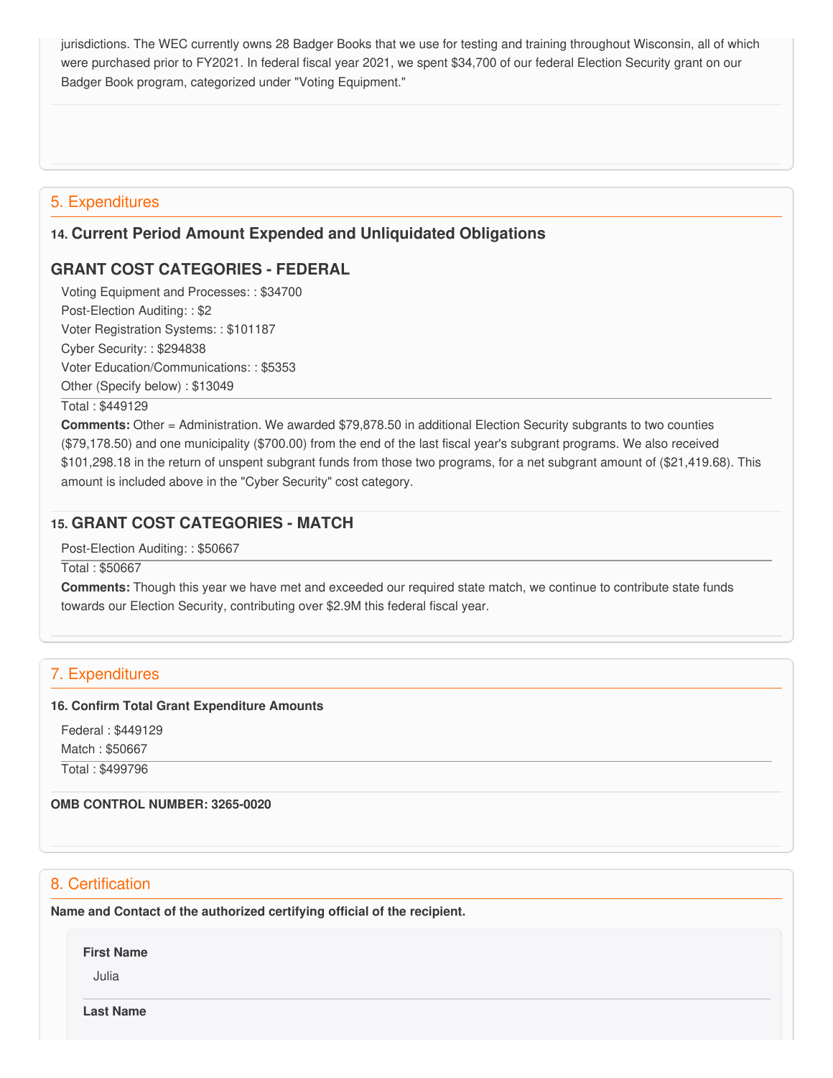jurisdictions. The WEC currently owns 28 Badger Books that we use for testing and training throughout Wisconsin, all of which were purchased prior to FY2021. In federal fiscal year 2021, we spent \$34,700 of our federal Election Security grant on our Badger Book program, categorized under "Voting Equipment."

# 5. Expenditures

# **14. Current Period Amount Expended and Unliquidated Obligations**

# **GRANT COST CATEGORIES - FEDERAL**

 Voting Equipment and Processes: : \$34700 Post-Election Auditing: : \$2 Voter Registration Systems: : \$101187 Cyber Security: : \$294838 Voter Education/Communications: : \$5353 Other (Specify below) : \$13049

Total : \$449129

 **Comments:** Other = Administration. We awarded [\\$79,878.50](https://79,878.50) in additional Election Security subgrants to two counties ([\\$79,178.50](https://79,178.50)) and one municipality (\$700.00) from the end of the last fiscal year's subgrant programs. We also received [\\$101,298.18](https://101,298.18) in the return of unspent subgrant funds from those two programs, for a net subgrant amount of ([\\$21,419.68](https://21,419.68)). This amount is included above in the "Cyber Security" cost category.

# **15. GRANT COST CATEGORIES - MATCH**

Post-Election Auditing: : \$50667

Total : \$50667

 **Comments:** Though this year we have met and exceeded our required state match, we continue to contribute state funds towards our Election Security, contributing over \$2.9M this federal fiscal year.

# 7. Expenditures

#### **16. Confirm Total Grant Expenditure Amounts**

 Federal : \$449129 Match : \$50667

Total : \$499796

#### **OMB CONTROL NUMBER: 3265-0020**

# 8. Certification

 **Name and Contact of the authorized certifying official of the recipient.**

**First Name**

Julia

**Last Name**